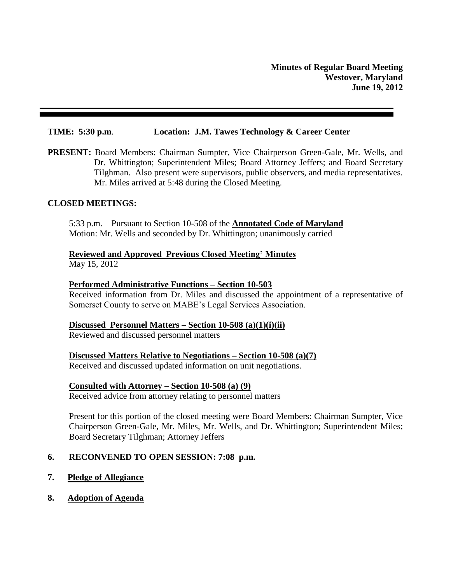#### **TIME: 5:30 p.m**. **Location: J.M. Tawes Technology & Career Center**

**PRESENT:** Board Members: Chairman Sumpter, Vice Chairperson Green-Gale, Mr. Wells, and Dr. Whittington; Superintendent Miles; Board Attorney Jeffers; and Board Secretary Tilghman. Also present were supervisors, public observers, and media representatives. Mr. Miles arrived at 5:48 during the Closed Meeting.

#### **CLOSED MEETINGS:**

5:33 p.m. – Pursuant to Section 10-508 of the **Annotated Code of Maryland** Motion: Mr. Wells and seconded by Dr. Whittington; unanimously carried

# **Reviewed and Approved Previous Closed Meeting' Minutes**

May 15, 2012

#### **Performed Administrative Functions – Section 10-503**

Received information from Dr. Miles and discussed the appointment of a representative of Somerset County to serve on MABE's Legal Services Association.

#### **Discussed Personnel Matters – Section 10-508 (a)(1)(i)(ii)**

Reviewed and discussed personnel matters

#### **Discussed Matters Relative to Negotiations – Section 10-508 (a)(7)**

Received and discussed updated information on unit negotiations.

#### **Consulted with Attorney – Section 10-508 (a) (9)**

Received advice from attorney relating to personnel matters

Present for this portion of the closed meeting were Board Members: Chairman Sumpter, Vice Chairperson Green-Gale, Mr. Miles, Mr. Wells, and Dr. Whittington; Superintendent Miles; Board Secretary Tilghman; Attorney Jeffers

#### **6. RECONVENED TO OPEN SESSION: 7:08 p.m.**

- **7. Pledge of Allegiance**
- **8. Adoption of Agenda**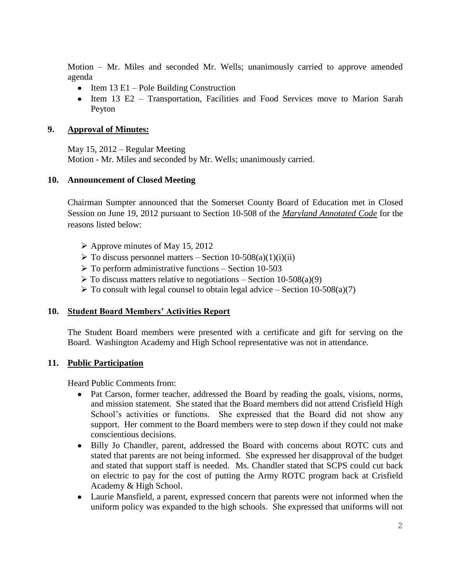Motion – Mr. Miles and seconded Mr. Wells; unanimously carried to approve amended agenda

- Item  $13$  E1 Pole Building Construction
- Item 13 E2 Transportation, Facilities and Food Services move to Marion Sarah Peyton

# **9. Approval of Minutes:**

May 15, 2012 – Regular Meeting Motion - Mr. Miles and seconded by Mr. Wells; unanimously carried.

# **10. Announcement of Closed Meeting**

Chairman Sumpter announced that the Somerset County Board of Education met in Closed Session on June 19, 2012 pursuant to Section 10-508 of the *Maryland Annotated Code* for the reasons listed below:

- $\triangleright$  Approve minutes of May 15, 2012
- $\triangleright$  To discuss personnel matters Section 10-508(a)(1)(i)(ii)
- $\triangleright$  To perform administrative functions Section 10-503
- $\triangleright$  To discuss matters relative to negotiations Section 10-508(a)(9)
- $\triangleright$  To consult with legal counsel to obtain legal advice Section 10-508(a)(7)

#### **10. Student Board Members' Activities Report**

The Student Board members were presented with a certificate and gift for serving on the Board. Washington Academy and High School representative was not in attendance.

#### **11. Public Participation**

Heard Public Comments from:

- $\bullet$ Pat Carson, former teacher, addressed the Board by reading the goals, visions, norms, and mission statement. She stated that the Board members did not attend Crisfield High School's activities or functions. She expressed that the Board did not show any support. Her comment to the Board members were to step down if they could not make conscientious decisions.
- Billy Jo Chandler, parent, addressed the Board with concerns about ROTC cuts and stated that parents are not being informed. She expressed her disapproval of the budget and stated that support staff is needed. Ms. Chandler stated that SCPS could cut back on electric to pay for the cost of putting the Army ROTC program back at Crisfield Academy & High School.
- Laurie Mansfield, a parent, expressed concern that parents were not informed when the uniform policy was expanded to the high schools. She expressed that uniforms will not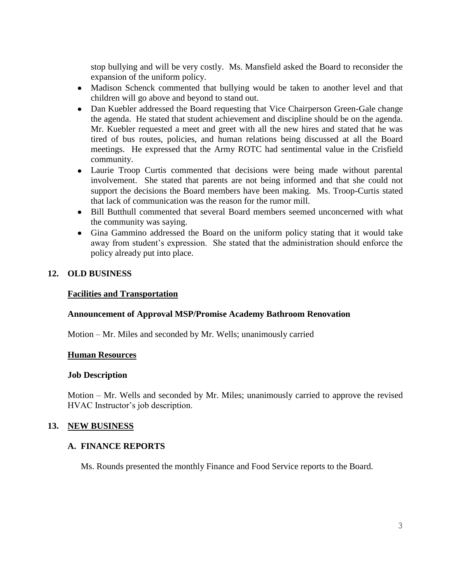stop bullying and will be very costly. Ms. Mansfield asked the Board to reconsider the expansion of the uniform policy.

- Madison Schenck commented that bullying would be taken to another level and that children will go above and beyond to stand out.
- Dan Kuebler addressed the Board requesting that Vice Chairperson Green-Gale change the agenda. He stated that student achievement and discipline should be on the agenda. Mr. Kuebler requested a meet and greet with all the new hires and stated that he was tired of bus routes, policies, and human relations being discussed at all the Board meetings. He expressed that the Army ROTC had sentimental value in the Crisfield community.
- Laurie Troop Curtis commented that decisions were being made without parental involvement. She stated that parents are not being informed and that she could not support the decisions the Board members have been making. Ms. Troop-Curtis stated that lack of communication was the reason for the rumor mill.
- Bill Butthull commented that several Board members seemed unconcerned with what the community was saying.
- Gina Gammino addressed the Board on the uniform policy stating that it would take away from student's expression. She stated that the administration should enforce the policy already put into place.

# **12. OLD BUSINESS**

# **Facilities and Transportation**

#### **Announcement of Approval MSP/Promise Academy Bathroom Renovation**

Motion – Mr. Miles and seconded by Mr. Wells; unanimously carried

#### **Human Resources**

#### **Job Description**

Motion – Mr. Wells and seconded by Mr. Miles; unanimously carried to approve the revised HVAC Instructor's job description.

#### **13. NEW BUSINESS**

#### **A. FINANCE REPORTS**

Ms. Rounds presented the monthly Finance and Food Service reports to the Board.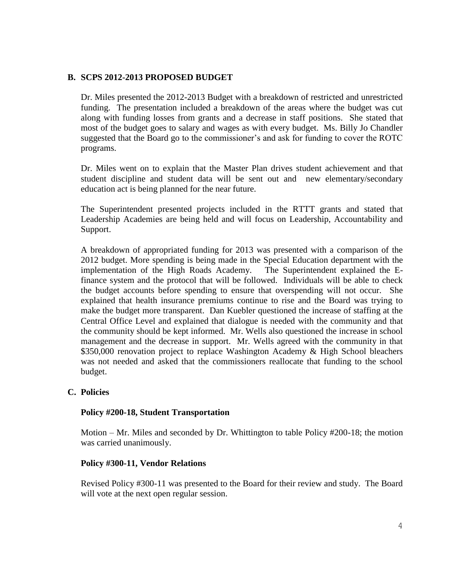# **B. SCPS 2012-2013 PROPOSED BUDGET**

Dr. Miles presented the 2012-2013 Budget with a breakdown of restricted and unrestricted funding. The presentation included a breakdown of the areas where the budget was cut along with funding losses from grants and a decrease in staff positions. She stated that most of the budget goes to salary and wages as with every budget. Ms. Billy Jo Chandler suggested that the Board go to the commissioner's and ask for funding to cover the ROTC programs.

Dr. Miles went on to explain that the Master Plan drives student achievement and that student discipline and student data will be sent out and new elementary/secondary education act is being planned for the near future.

The Superintendent presented projects included in the RTTT grants and stated that Leadership Academies are being held and will focus on Leadership, Accountability and Support.

A breakdown of appropriated funding for 2013 was presented with a comparison of the 2012 budget. More spending is being made in the Special Education department with the implementation of the High Roads Academy. The Superintendent explained the Efinance system and the protocol that will be followed. Individuals will be able to check the budget accounts before spending to ensure that overspending will not occur. She explained that health insurance premiums continue to rise and the Board was trying to make the budget more transparent. Dan Kuebler questioned the increase of staffing at the Central Office Level and explained that dialogue is needed with the community and that the community should be kept informed. Mr. Wells also questioned the increase in school management and the decrease in support. Mr. Wells agreed with the community in that \$350,000 renovation project to replace Washington Academy & High School bleachers was not needed and asked that the commissioners reallocate that funding to the school budget.

#### **C. Policies**

#### **Policy #200-18, Student Transportation**

Motion – Mr. Miles and seconded by Dr. Whittington to table Policy #200-18; the motion was carried unanimously.

#### **Policy #300-11, Vendor Relations**

Revised Policy #300-11 was presented to the Board for their review and study. The Board will vote at the next open regular session.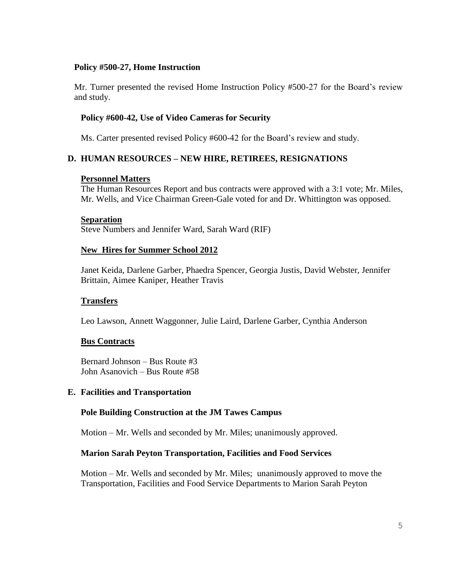### **Policy #500-27, Home Instruction**

Mr. Turner presented the revised Home Instruction Policy #500-27 for the Board's review and study.

# **Policy #600-42, Use of Video Cameras for Security**

Ms. Carter presented revised Policy #600-42 for the Board's review and study.

# **D. HUMAN RESOURCES – NEW HIRE, RETIREES, RESIGNATIONS**

#### **Personnel Matters**

The Human Resources Report and bus contracts were approved with a 3:1 vote; Mr. Miles, Mr. Wells, and Vice Chairman Green-Gale voted for and Dr. Whittington was opposed.

#### **Separation**

Steve Numbers and Jennifer Ward, Sarah Ward (RIF)

#### **New Hires for Summer School 2012**

Janet Keida, Darlene Garber, Phaedra Spencer, Georgia Justis, David Webster, Jennifer Brittain, Aimee Kaniper, Heather Travis

#### **Transfers**

Leo Lawson, Annett Waggonner, Julie Laird, Darlene Garber, Cynthia Anderson

#### **Bus Contracts**

Bernard Johnson – Bus Route #3 John Asanovich – Bus Route #58

#### **E. Facilities and Transportation**

#### **Pole Building Construction at the JM Tawes Campus**

Motion – Mr. Wells and seconded by Mr. Miles; unanimously approved.

#### **Marion Sarah Peyton Transportation, Facilities and Food Services**

Motion – Mr. Wells and seconded by Mr. Miles; unanimously approved to move the Transportation, Facilities and Food Service Departments to Marion Sarah Peyton